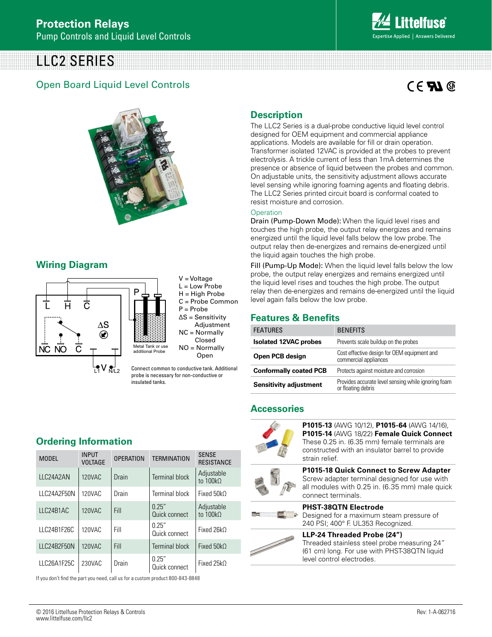# LLC2 SERIES

## Open Board Liquid Level Controls

# $C \in \mathbf{F}$   $\mathbf{M} \circledcirc$



### **Wiring Diagram**



V = Voltage L = Low Probe  $H = H$ igh Probe C = Probe Common P = Probe ∆S = Sensitivity Adjustment NC = Normally Closed NO = Normally Open

Connect common to conductive tank. Additional probe is necessary for non-conductive or insulated tanks.

# **Description**

The LLC2 Series is a dual-probe conductive liquid level control designed for OEM equipment and commercial appliance applications. Models are available for fill or drain operation. Transformer isolated 12VAC is provided at the probes to prevent electrolysis. A trickle current of less than 1mA determines the presence or absence of liquid between the probes and common. On adjustable units, the sensitivity adjustment allows accurate level sensing while ignoring foaming agents and floating debris. The LLC2 Series printed circuit board is conformal coated to resist moisture and corrosion.

#### **Operation**

Drain (Pump-Down Mode): When the liquid level rises and touches the high probe, the output relay energizes and remains energized until the liquid level falls below the low probe. The output relay then de-energizes and remains de-energized until the liquid again touches the high probe.

Fill (Pump-Up Mode): When the liquid level falls below the low probe, the output relay energizes and remains energized until the liquid level rises and touches the high probe. The output relay then de-energizes and remains de-energized until the liquid level again falls below the low probe.

## **Features & Benefits**

| <b>FEATURES</b>               | <b>BENEFITS</b>                                                           |  |
|-------------------------------|---------------------------------------------------------------------------|--|
| <b>Isolated 12VAC probes</b>  | Prevents scale buildup on the probes                                      |  |
| Open PCB design               | Cost effective design for OEM equipment and<br>commercial appliances      |  |
| <b>Conformally coated PCB</b> | Protects against moisture and corrosion                                   |  |
| <b>Sensitivity adjustment</b> | Provides accurate level sensing while ignoring foam<br>or floating debris |  |

#### **Accessories**



**P1015-13** (AWG 10/12), **P1015-64** (AWG 14/16), **P1015-14** (AWG 18/22) **Female Quick Connect** These 0.25 in. (6.35 mm) female terminals are constructed with an insulator barrel to provide strain relief. **P1015-18 Quick Connect to Screw Adapter**







#### Designed for a maximum steam pressure of 240 PSI; 400° F. UL353 Recognized.

**PHST-38QTN Electrode** 

**LLP-24 Threaded Probe (24")**  Threaded stainless steel probe measuring 24" (61 cm) long. For use with PHST-38QTN liquid level control electrodes.

## **Ordering Information**

| <b>MODEL</b> | <b>INPUT</b><br><b>VOLTAGE</b> | <b>OPERATION</b> | <b>TERMINATION</b>      | <b>SENSE</b><br><b>RESISTANCE</b> |
|--------------|--------------------------------|------------------|-------------------------|-----------------------------------|
| LLC24A2AN    | 120VAC                         | Drain            | <b>Terminal block</b>   | Adjustable<br>to 100kQ            |
| LLC24A2F50N  | 120VAC                         | Drain            | <b>Terminal block</b>   | Fixed $50kO$                      |
| LLC24B1AC    | 120VAC                         | Fill             | 0.25''<br>Quick connect | Adjustable<br>to $100k\Omega$     |
| LLC24B1F26C  | 120VAC                         | Fill             | 0.25''<br>Quick connect | Fixed $26kO$                      |
| LLC24B2F50N  | 120VAC                         | Fill             | <b>Terminal block</b>   | Fixed $50k$                       |
| LLC26A1F25C  | 230VAC                         | Drain            | 0.25''<br>Quick connect | Fixed $25kO$                      |

If you don't find the part you need, call us for a custom product 800-843-8848